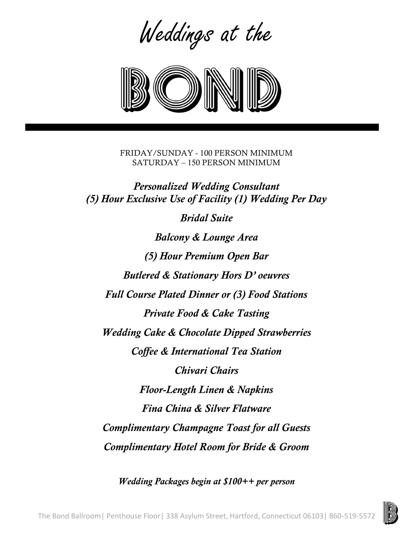Weddings at the



FRIDAY/SUNDAY - 100 PERSON MINIMUM SATURDAY – 150 PERSON MINIMUM

*Personalized Wedding Consultant (5) Hour Exclusive Use of Facility (1) Wedding Per Day*

*Bridal Suite*

*Balcony & Lounge Area (5) Hour Premium Open Bar Butlered & Stationary Hors D' oeuvres Full Course Plated Dinner or (3) Food Stations Private Food & Cake Tasting Wedding Cake & Chocolate Dipped Strawberries Coffee & International Tea Station Chivari Chairs Floor-Length Linen & Napkins Fina China & Silver Flatware Complimentary Champagne Toast for all Guests Complimentary Hotel Room for Bride & Groom*

*Wedding Packages begin at \$100++ per person*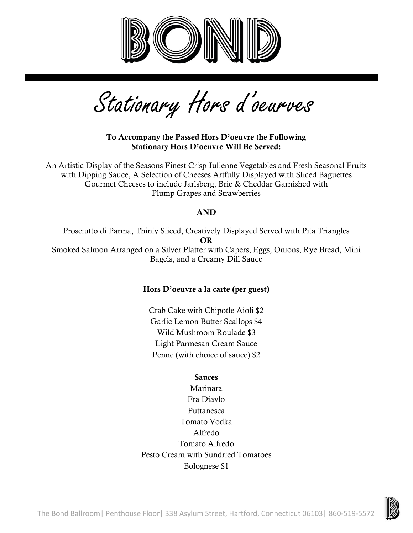

Stationary Hors d'oeurves

To Accompany the Passed Hors D'oeuvre the Following Stationary Hors D'oeuvre Will Be Served:

An Artistic Display of the Seasons Finest Crisp Julienne Vegetables and Fresh Seasonal Fruits with Dipping Sauce, A Selection of Cheeses Artfully Displayed with Sliced Baguettes Gourmet Cheeses to include Jarlsberg, Brie & Cheddar Garnished with Plump Grapes and Strawberries

# AND

Prosciutto di Parma, Thinly Sliced, Creatively Displayed Served with Pita Triangles OR Smoked Salmon Arranged on a Silver Platter with Capers, Eggs, Onions, Rye Bread, Mini Bagels, and a Creamy Dill Sauce

### Hors D'oeuvre a la carte (per guest)

Crab Cake with Chipotle Aioli \$2 Garlic Lemon Butter Scallops \$4 Wild Mushroom Roulade \$3 Light Parmesan Cream Sauce Penne (with choice of sauce) \$2

# **Sauces**

Marinara Fra Diavlo Puttanesca Tomato Vodka Alfredo Tomato Alfredo Pesto Cream with Sundried Tomatoes Bolognese \$1

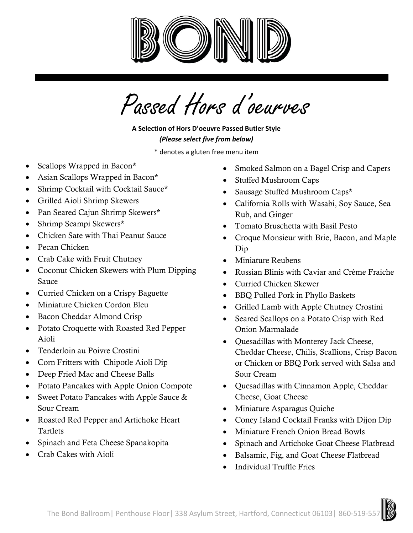

Passed Hors d'oeurves

# **A Selection of Hors D'oeuvre Passed Butler Style** *(Please select five from below)*

\* denotes a gluten free menu item

- Scallops Wrapped in Bacon\*
- Asian Scallops Wrapped in Bacon\*
- Shrimp Cocktail with Cocktail Sauce\*
- Grilled Aioli Shrimp Skewers
- Pan Seared Cajun Shrimp Skewers\*
- Shrimp Scampi Skewers\*
- Chicken Sate with Thai Peanut Sauce
- Pecan Chicken
- Crab Cake with Fruit Chutney
- Coconut Chicken Skewers with Plum Dipping Sauce
- Curried Chicken on a Crispy Baguette
- Miniature Chicken Cordon Bleu
- Bacon Cheddar Almond Crisp
- Potato Croquette with Roasted Red Pepper Aioli
- Tenderloin au Poivre Crostini
- Corn Fritters with Chipotle Aioli Dip
- Deep Fried Mac and Cheese Balls
- Potato Pancakes with Apple Onion Compote
- Sweet Potato Pancakes with Apple Sauce & Sour Cream
- Roasted Red Pepper and Artichoke Heart Tartlets
- Spinach and Feta Cheese Spanakopita
- Crab Cakes with Aioli
- Smoked Salmon on a Bagel Crisp and Capers
- Stuffed Mushroom Caps
- Sausage Stuffed Mushroom Caps\*
- California Rolls with Wasabi, Soy Sauce, Sea Rub, and Ginger
- Tomato Bruschetta with Basil Pesto
- Croque Monsieur with Brie, Bacon, and Maple Dip
- Miniature Reubens
- Russian Blinis with Caviar and Crème Fraiche
- Curried Chicken Skewer
- BBQ Pulled Pork in Phyllo Baskets
- Grilled Lamb with Apple Chutney Crostini
- Seared Scallops on a Potato Crisp with Red Onion Marmalade
- Quesadillas with Monterey Jack Cheese, Cheddar Cheese, Chilis, Scallions, Crisp Bacon or Chicken or BBQ Pork served with Salsa and Sour Cream
- Quesadillas with Cinnamon Apple, Cheddar Cheese, Goat Cheese
- Miniature Asparagus Quiche
- Coney Island Cocktail Franks with Dijon Dip
- Miniature French Onion Bread Bowls
- Spinach and Artichoke Goat Cheese Flatbread
- Balsamic, Fig, and Goat Cheese Flatbread
- Individual Truffle Fries

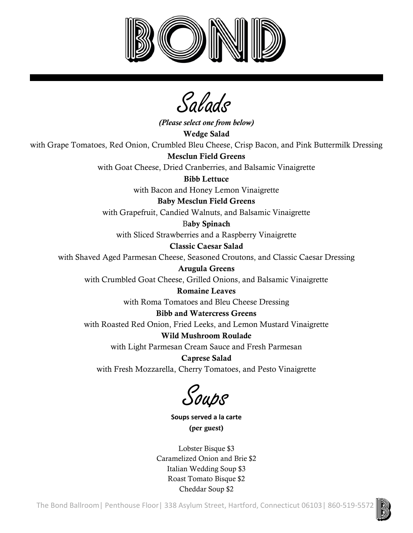

Salads

*(Please select one from below)* Wedge Salad with Grape Tomatoes, Red Onion, Crumbled Bleu Cheese, Crisp Bacon, and Pink Buttermilk Dressing Mesclun Field Greens with Goat Cheese, Dried Cranberries, and Balsamic Vinaigrette Bibb Lettuce with Bacon and Honey Lemon Vinaigrette Baby Mesclun Field Greens with Grapefruit, Candied Walnuts, and Balsamic Vinaigrette Baby Spinach with Sliced Strawberries and a Raspberry Vinaigrette Classic Caesar Salad with Shaved Aged Parmesan Cheese, Seasoned Croutons, and Classic Caesar Dressing Arugula Greens with Crumbled Goat Cheese, Grilled Onions, and Balsamic Vinaigrette Romaine Leaves with Roma Tomatoes and Bleu Cheese Dressing Bibb and Watercress Greens with Roasted Red Onion, Fried Leeks, and Lemon Mustard Vinaigrette Wild Mushroom Roulade with Light Parmesan Cream Sauce and Fresh Parmesan Caprese Salad

with Fresh Mozzarella, Cherry Tomatoes, and Pesto Vinaigrette

Soups

**Soups served a la carte** (per guest)

Lobster Bisque \$3 Caramelized Onion and Brie \$2 Italian Wedding Soup \$3 Roast Tomato Bisque \$2 Cheddar Soup \$2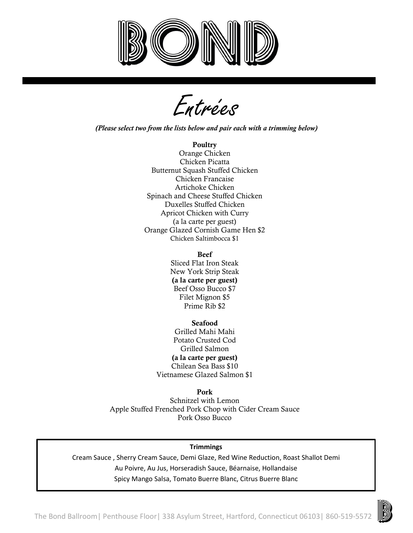

r<br>Entrées

*(Please select two from the lists below and pair each with a trimming below)*

#### **Poultry**

Orange Chicken Chicken Picatta Butternut Squash Stuffed Chicken Chicken Francaise Artichoke Chicken Spinach and Cheese Stuffed Chicken Duxelles Stuffed Chicken Apricot Chicken with Curry (a la carte per guest) Orange Glazed Cornish Game Hen \$2 Chicken Saltimbocca \$1

#### Beef

Sliced Flat Iron Steak New York Strip Steak (a la carte per guest) Beef Osso Bucco \$7 Filet Mignon \$5 Prime Rib \$2

Seafood Grilled Mahi Mahi Potato Crusted Cod Grilled Salmon (a la carte per guest) Chilean Sea Bass \$10 Vietnamese Glazed Salmon \$1

Pork

Schnitzel with Lemon Apple Stuffed Frenched Pork Chop with Cider Cream Sauce Pork Osso Bucco

#### **Trimmings**

Cream Sauce , Sherry Cream Sauce, Demi Glaze, Red Wine Reduction, Roast Shallot Demi Au Poivre, Au Jus, Horseradish Sauce, Béarnaise, Hollandaise Spicy Mango Salsa, Tomato Buerre Blanc, Citrus Buerre Blanc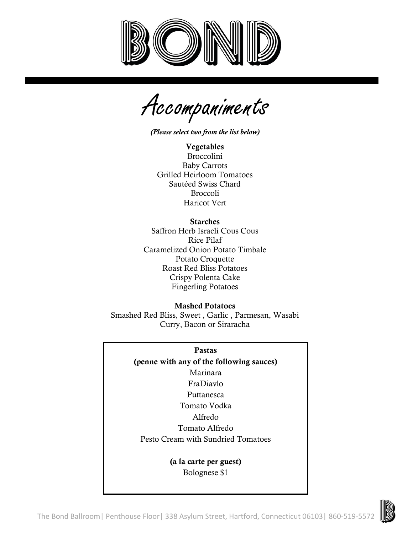

Accompaniments

*(Please select two from the list below)*

Vegetables Broccolini Baby Carrots Grilled Heirloom Tomatoes Sautéed Swiss Chard Broccoli Haricot Vert

Starches Saffron Herb Israeli Cous Cous Rice Pilaf Caramelized Onion Potato Timbale Potato Croquette Roast Red Bliss Potatoes Crispy Polenta Cake Fingerling Potatoes

Mashed Potatoes Smashed Red Bliss, Sweet , Garlic , Parmesan, Wasabi Curry, Bacon or Siraracha

Pastas

(penne with any of the following sauces) Marinara FraDiavlo Puttanesca Tomato Vodka Alfredo Tomato Alfredo Pesto Cream with Sundried Tomatoes

> (a la carte per guest) Bolognese \$1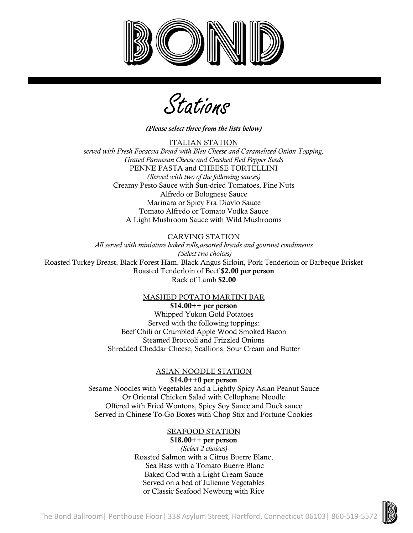



*(Please select three from the lists below)*

ITALIAN STATION *served with Fresh Focaccia Bread with Bleu Cheese and Caramelized Onion Topping, Grated Parmesan Cheese and Crushed Red Pepper Seeds* PENNE PASTA and CHEESE TORTELLINI *(Served with two of the following sauces)* Creamy Pesto Sauce with Sun-dried Tomatoes, Pine Nuts Alfredo or Bolognese Sauce Marinara or Spicy Fra Diavlo Sauce Tomato Alfredo or Tomato Vodka Sauce A Light Mushroom Sauce with Wild Mushrooms

### CARVING STATION

*All served with miniature baked rolls,assorted breads and gourmet condiments (Select two choices)*

Roasted Turkey Breast, Black Forest Ham, Black Angus Sirloin, Pork Tenderloin or Barbeque Brisket Roasted Tenderloin of Beef \$2.00 per person Rack of Lamb \$2.00

#### MASHED POTATO MARTINI BAR

 $$14.00++$  per person Whipped Yukon Gold Potatoes Served with the following toppings: Beef Chili or Crumbled Apple Wood Smoked Bacon Steamed Broccoli and Frizzled Onions Shredded Cheddar Cheese, Scallions, Sour Cream and Butter

#### ASIAN NOODLE STATION  $$14.0++0$  per person

Sesame Noodles with Vegetables and a Lightly Spicy Asian Peanut Sauce Or Oriental Chicken Salad with Cellophane Noodle Offered with Fried Wontons, Spicy Soy Sauce and Duck sauce Served in Chinese To-Go Boxes with Chop Stix and Fortune Cookies

### SEAFOOD STATION

 $$18.00++$  per person *(Select 2 choices)* Roasted Salmon with a Citrus Buerre Blanc, Sea Bass with a Tomato Buerre Blanc Baked Cod with a Light Cream Sauce Served on a bed of Julienne Vegetables or Classic Seafood Newburg with Rice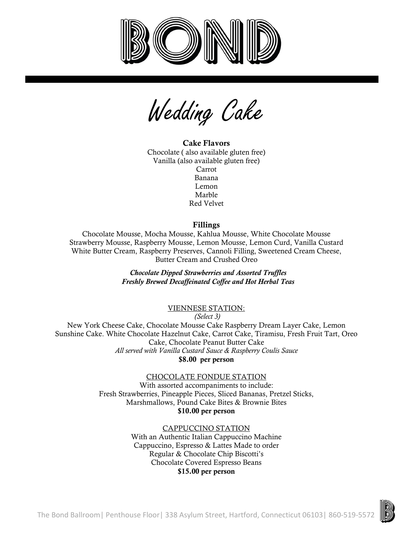

Wedding Cake

Cake Flavors Chocolate ( also available gluten free) Vanilla (also available gluten free) Carrot Banana Lemon Marble Red Velvet

### Fillings

Chocolate Mousse, Mocha Mousse, Kahlua Mousse, White Chocolate Mousse Strawberry Mousse, Raspberry Mousse, Lemon Mousse, Lemon Curd, Vanilla Custard White Butter Cream, Raspberry Preserves, Cannoli Filling, Sweetened Cream Cheese, Butter Cream and Crushed Oreo

> *Chocolate Dipped Strawberries and Assorted Truffles Freshly Brewed Decaffeinated Coffee and Hot Herbal Teas*

### VIENNESE STATION:

*(Select 3)*

New York Cheese Cake, Chocolate Mousse Cake Raspberry Dream Layer Cake, Lemon Sunshine Cake. White Chocolate Hazelnut Cake, Carrot Cake, Tiramisu, Fresh Fruit Tart, Oreo Cake, Chocolate Peanut Butter Cake *All served with Vanilla Custard Sauce & Raspberry Coulis Sauce*

\$8.00 per person

CHOCOLATE FONDUE STATION

With assorted accompaniments to include: Fresh Strawberries, Pineapple Pieces, Sliced Bananas, Pretzel Sticks, Marshmallows, Pound Cake Bites & Brownie Bites \$10.00 per person

### CAPPUCCINO STATION

With an Authentic Italian Cappuccino Machine Cappuccino, Espresso & Lattes Made to order Regular & Chocolate Chip Biscotti's Chocolate Covered Espresso Beans \$15.00 per person